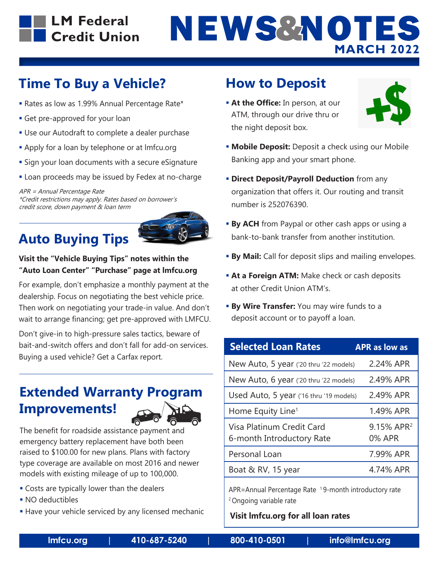

# **Time To Buy a Vehicle?**

- Rates as low as 1.99% Annual Percentage Rate\*
- **Get pre-approved for your loan**
- Use our Autodraft to complete a dealer purchase
- **Apply for a loan by telephone or at Imfcu.org**
- **Sign your loan documents with a secure eSignature**
- **Example 26 Loan proceeds may be issued by Fedex at no-charge**

APR = Annual Percentage Rate \*Credit restrictions may apply. Rates based on borrower's credit score, down payment & loan term

# **Auto Buying Tips**



### **Visit the "Vehicle Buying Tips" notes within the "Auto Loan Center" "Purchase" page at lmfcu.org**

For example, don't emphasize a monthly payment at the dealership. Focus on negotiating the best vehicle price. Then work on negotiating your trade-in value. And don't wait to arrange financing; get pre-approved with LMFCU.

Don't give-in to high-pressure sales tactics, beware of bait-and-switch offers and don't fall for add-on services. Buying a used vehicle? Get a Carfax report.

## **Extended Warranty Program Improvements!**



The benefit for roadside assistance payment and emergency battery replacement have both been raised to \$100.00 for new plans. Plans with factory type coverage are available on most 2016 and newer models with existing mileage of up to 100,000.

- **Costs are typically lower than the dealers**
- NO deductibles
- **Have your vehicle serviced by any licensed mechanic**

## **How to Deposit**

**At the Office:** In person, at our ATM, through our drive thru or the night deposit box.



- **Mobile Deposit:** Deposit a check using our Mobile Banking app and your smart phone.
- **Direct Deposit/Payroll Deduction** from any organization that offers it. Our routing and transit number is 252076390.
- **By ACH** from Paypal or other cash apps or using a bank-to-bank transfer from another institution.
- **By Mail:** Call for deposit slips and mailing envelopes.
- **At a Foreign ATM:** Make check or cash deposits at other Credit Union ATM's.
- **By Wire Transfer:** You may wire funds to a deposit account or to payoff a loan.

| <b>Selected Loan Rates</b>                             | <b>APR as low as</b>                    |
|--------------------------------------------------------|-----------------------------------------|
| New Auto, 5 year ('20 thru '22 models)                 | 2.24% APR                               |
| New Auto, 6 year ('20 thru '22 models)                 | 2.49% APR                               |
| Used Auto, 5 year ('16 thru '19 models)                | 2.49% APR                               |
| Home Equity Line <sup>1</sup>                          | 1.49% APR                               |
| Visa Platinum Credit Card<br>6-month Introductory Rate | 9.15% APR <sup>2</sup><br><b>0% APR</b> |
| Personal Loan                                          | 7.99% APR                               |
| Boat & RV, 15 year                                     | 4.74% APR                               |
|                                                        |                                         |

APR=Annual Percentage Rate <sup>1</sup>9-month introductory rate 2 Ongoing variable rate

**Visit lmfcu.org for all loan rates**